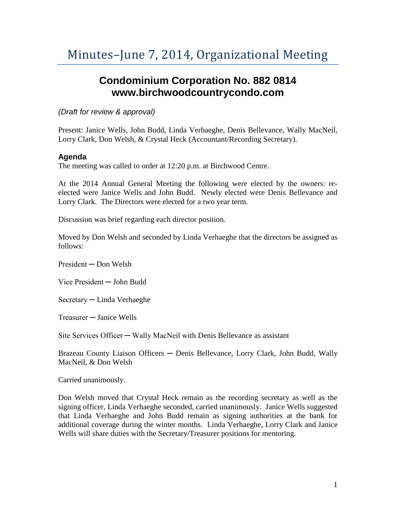## **Condominium Corporation No. 882 0814 www.birchwoodcountrycondo.com**

*(Draft for review & approval)*

Present: Janice Wells, John Budd, Linda Verhaeghe, Denis Bellevance, Wally MacNeil, Lorry Clark, Don Welsh, & Crystal Heck (Accountant/Recording Secretary).

## **Agenda**

The meeting was called to order at 12:20 p.m. at Birchwood Centre.

At the 2014 Annual General Meeting the following were elected by the owners: reelected were Janice Wells and John Budd. Newly elected were Denis Bellevance and Lorry Clark. The Directors were elected for a two year term.

Discussion was brief regarding each director position.

Moved by Don Welsh and seconded by Linda Verhaeghe that the directors be assigned as follows:

President ─ Don Welsh

Vice President ─ John Budd

Secretary ─ Linda Verhaeghe

Treasurer ─ Janice Wells

Site Services Officer — Wally MacNeil with Denis Bellevance as assistant

Brazeau County Liaison Officers — Denis Bellevance, Lorry Clark, John Budd, Wally MacNeil, & Don Welsh

Carried unanimously.

Don Welsh moved that Crystal Heck remain as the recording secretary as well as the signing officer, Linda Verhaeghe seconded, carried unanimously. Janice Wells suggested that Linda Verhaeghe and John Budd remain as signing authorities at the bank for additional coverage during the winter months. Linda Verhaeghe, Lorry Clark and Janice Wells will share duties with the Secretary/Treasurer positions for mentoring.